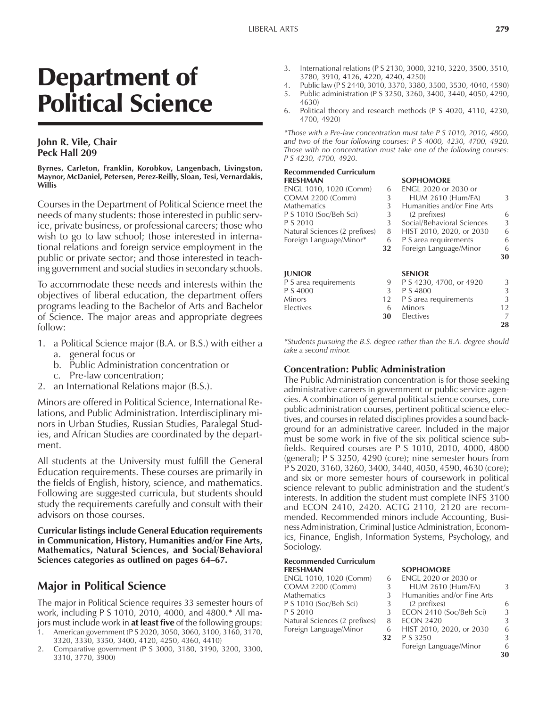# Department of Political Science

#### **John R. Vile, Chair Peck Hall 209**

#### **Byrnes, Carleton, Franklin, Korobkov, Langenbach, Livingston, Maynor, McDaniel, Petersen, Perez-Reilly, Sloan, Tesi, Vernardakis, Willis**

Courses in the Department of Political Science meet the needs of many students: those interested in public service, private business, or professional careers; those who wish to go to law school; those interested in international relations and foreign service employment in the public or private sector; and those interested in teaching government and social studies in secondary schools.

To accommodate these needs and interests within the objectives of liberal education, the department offers programs leading to the Bachelor of Arts and Bachelor of Science. The major areas and appropriate degrees follow:

- 1. a Political Science major (B.A. or B.S.) with either a
	- a. general focus or
	- b. Public Administration concentration or
	- c. Pre-law concentration;
- 2. an International Relations major (B.S.).

Minors are offered in Political Science, International Relations, and Public Administration. Interdisciplinary minors in Urban Studies, Russian Studies, Paralegal Studies, and African Studies are coordinated by the department.

All students at the University must fulfill the General Education requirements. These courses are primarily in the fields of English, history, science, and mathematics. Following are suggested curricula, but students should study the requirements carefully and consult with their advisors on those courses.

**Curricular listings include General Education requirements in Communication, History, Humanities and/or Fine Arts, Mathematics, Natural Sciences, and Social/Behavioral** Sciences categories as outlined on pages 64–67.

## **Major in Political Science**

The major in Political Science requires 33 semester hours of work, including P S 1010, 2010, 4000, and 4800.\* All majors must include work in **at least five** of the following groups:

- 1. American government (P S 2020, 3050, 3060, 3100, 3160, 3170, 3320, 3330, 3350, 3400, 4120, 4250, 4360, 4410)
- 2. Comparative government (P S 3000, 3180, 3190, 3200, 3300, 3310, 3770, 3900)
- 3. International relations (P S 2130, 3000, 3210, 3220, 3500, 3510, 3780, 3910, 4126, 4220, 4240, 4250)
- 4. Public law (P S 2440, 3010, 3370, 3380, 3500, 3530, 4040, 4590) 5. Public administration (P S 3250, 3260, 3400, 3440, 4050, 4290,
- 4630) 6. Political theory and research methods (P S 4020, 4110, 4230, 4700, 4920)

*\*Those with a Pre-law concentration must take P S 1010, 2010, 4800, and two of the four following courses: P S 4000, 4230, 4700, 4920. Those with no concentration must take one of the following courses: P S 4230, 4700, 4920.*

#### **Recommended Curriculum**

| <b>FRESHMAN</b>               |    | <b>SOPHOMORE</b>            |    |
|-------------------------------|----|-----------------------------|----|
| ENGL 1010, 1020 (Comm)        | 6  | <b>ENGL 2020 or 2030 or</b> |    |
| <b>COMM 2200 (Comm)</b>       | 3  | <b>HUM 2610 (Hum/FA)</b>    | 3  |
| Mathematics                   | 3  | Humanities and/or Fine Arts |    |
| P S 1010 (Soc/Beh Sci)        | 3  | (2 prefixes)                | 6  |
| P S 2010                      | 3  | Social/Behavioral Sciences  | 3  |
| Natural Sciences (2 prefixes) | 8  | HIST 2010, 2020, or 2030    | 6  |
| Foreign Language/Minor*       | 6  | P S area requirements       | 6  |
|                               | 32 | Foreign Language/Minor      | 6  |
|                               |    |                             | 30 |
| <b>JUNIOR</b>                 |    | <b>SENIOR</b>               |    |
| P S area requirements         | 9  | P S 4230, 4700, or 4920     | 3  |
| P S 4000                      | 3  | P S 4800                    | 3  |
| Minors                        | 12 | P S area requirements       | 3  |
| Electives                     | 6  | Minors                      | 12 |
|                               | 30 | Electives                   | 7  |
|                               |    |                             | 28 |

*\*Students pursuing the B.S. degree rather than the B.A. degree should take a second minor.*

#### **Concentration: Public Administration**

The Public Administration concentration is for those seeking administrative careers in government or public service agencies. A combination of general political science courses, core public administration courses, pertinent political science electives, and courses in related disciplines provides a sound background for an administrative career. Included in the major must be some work in five of the six political science subfields. Required courses are P S 1010, 2010, 4000, 4800 (general); P S 3250, 4290 (core); nine semester hours from P S 2020, 3160, 3260, 3400, 3440, 4050, 4590, 4630 (core); and six or more semester hours of coursework in political science relevant to public administration and the student's interests. In addition the student must complete INFS 3100 and ECON 2410, 2420. ACTG 2110, 2120 are recommended. Recommended minors include Accounting, Business Administration, Criminal Justice Administration, Economics, Finance, English, Information Systems, Psychology, and Sociology.

## **Recommended Curriculum**

| FRESHMAN                      |    | <b>SOPHOMORE</b>            |   |
|-------------------------------|----|-----------------------------|---|
| ENGL 1010, 1020 (Comm)        | 6  | ENGL 2020 or 2030 or        |   |
| <b>COMM 2200 (Comm)</b>       | 3  | <b>HUM 2610 (Hum/FA)</b>    | 3 |
| Mathematics                   | 3  | Humanities and/or Fine Arts |   |
| P S 1010 (Soc/Beh Sci)        | 3  | (2 prefixes)                | 6 |
| P S 2010                      | 3  | ECON 2410 (Soc/Beh Sci)     | 3 |
| Natural Sciences (2 prefixes) | 8  | <b>ECON 2420</b>            | 3 |
| Foreign Language/Minor        | 6  | HIST 2010, 2020, or 2030    | 6 |
|                               | 32 | P S 3250                    | 3 |
|                               |    | Foreign Language/Minor      | 6 |
|                               |    |                             |   |

**30**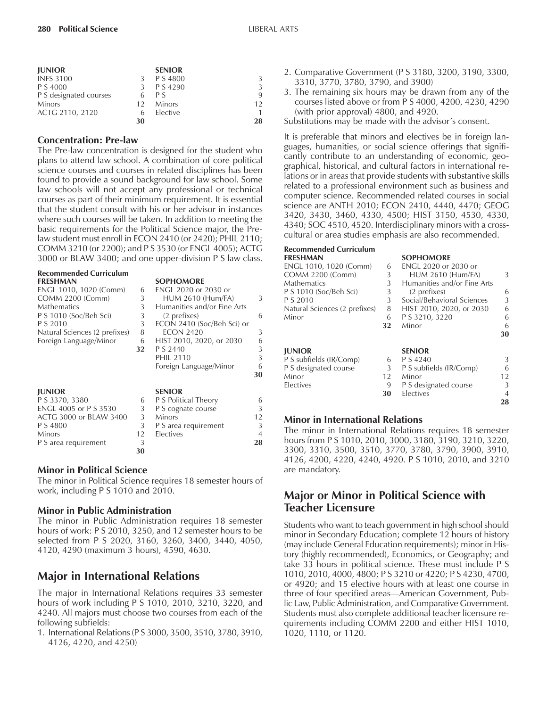| <b>JUNIOR</b>          |    | <b>SENIOR</b> |    |
|------------------------|----|---------------|----|
| <b>INFS 3100</b>       |    | P S 4800      | 3  |
| P S 4000               |    | P S 4290      | 3  |
| P S designated courses |    | P S           | 9  |
| Minors                 | 12 | <b>Minors</b> | 12 |
| ACTG 2110, 2120        |    | Elective      | 1. |
|                        | 30 |               | 28 |

#### **Concentration: Pre-law**

The Pre-law concentration is designed for the student who plans to attend law school. A combination of core political science courses and courses in related disciplines has been found to provide a sound background for law school. Some law schools will not accept any professional or technical courses as part of their minimum requirement. It is essential that the student consult with his or her advisor in instances where such courses will be taken. In addition to meeting the basic requirements for the Political Science major, the Prelaw student must enroll in ECON 2410 (or 2420); PHIL 2110; COMM 3210 (or 2200); and P S 3530 (or ENGL 4005); ACTG 3000 or BLAW 3400; and one upper-division P S law class.

| <b>Recommended Curriculum</b><br><b>FRESHMAN</b> |                  | <b>SOPHOMORE</b>            |                |
|--------------------------------------------------|------------------|-----------------------------|----------------|
| ENGL 1010, 1020 (Comm)                           | 6                | ENGL 2020 or 2030 or        |                |
| <b>COMM 2200 (Comm)</b>                          | 3                | <b>HUM 2610 (Hum/FA)</b>    | 3              |
| <b>Mathematics</b>                               | 3                | Humanities and/or Fine Arts |                |
| P S 1010 (Soc/Beh Sci)                           | 3                | (2 prefixes)                | 6              |
| P S 2010                                         | 3                | ECON 2410 (Soc/Beh Sci) or  |                |
| Natural Sciences (2 prefixes)                    | 8                | <b>ECON 2420</b>            | 3              |
| Foreign Language/Minor                           | 6                | HIST 2010, 2020, or 2030    | 6              |
|                                                  | 32               | P S 2440                    | 3              |
|                                                  |                  | <b>PHIL 2110</b>            | 3              |
|                                                  |                  | Foreign Language/Minor      | 6              |
|                                                  |                  |                             | 30             |
| <b>JUNIOR</b>                                    |                  | <b>SENIOR</b>               |                |
| P S 3370, 3380                                   | 6                | P S Political Theory        | 6              |
| ENGL 4005 or P S 3530                            | 3                | P S cognate course          | 3              |
| ACTG 3000 or BLAW 3400                           | 3                | <b>Minors</b>               | 12             |
| P S 4800                                         | 3                | P S area requirement        | 3              |
| Minors                                           | 12 <sup>12</sup> | Electives                   | $\overline{4}$ |
| P S area requirement                             | 3                |                             | 28             |

#### **Minor in Political Science**

The minor in Political Science requires 18 semester hours of work, including P S 1010 and 2010.

**30**

#### **Minor in Public Administration**

The minor in Public Administration requires 18 semester hours of work: P S 2010, 3250, and 12 semester hours to be selected from P S 2020, 3160, 3260, 3400, 3440, 4050, 4120, 4290 (maximum 3 hours), 4590, 4630.

## **Major in International Relations**

The major in International Relations requires 33 semester hours of work including P S 1010, 2010, 3210, 3220, and 4240. All majors must choose two courses from each of the following subfields:

1. International Relations (P S 3000, 3500, 3510, 3780, 3910, 4126, 4220, and 4250)

- 2. Comparative Government (P S 3180, 3200, 3190, 3300, 3310, 3770, 3780, 3790, and 3900)
- 3. The remaining six hours may be drawn from any of the courses listed above or from P S 4000, 4200, 4230, 4290 (with prior approval) 4800, and 4920.
- Substitutions may be made with the advisor's consent.

It is preferable that minors and electives be in foreign languages, humanities, or social science offerings that significantly contribute to an understanding of economic, geographical, historical, and cultural factors in international relations or in areas that provide students with substantive skills related to a professional environment such as business and computer science. Recommended related courses in social science are ANTH 2010; ECON 2410, 4440, 4470; GEOG 3420, 3430, 3460, 4330, 4500; HIST 3150, 4530, 4330, 4340; SOC 4510, 4520. Interdisciplinary minors with a crosscultural or area studies emphasis are also recommended.

| <b>Recommended Curriculum</b> |    |                             |    |
|-------------------------------|----|-----------------------------|----|
| <b>FRESHMAN</b>               |    | <b>SOPHOMORE</b>            |    |
| ENGL 1010, 1020 (Comm)        | 6  | <b>ENGL 2020 or 2030 or</b> |    |
| <b>COMM 2200 (Comm)</b>       | 3  | <b>HUM 2610 (Hum/FA)</b>    | 3  |
| <b>Mathematics</b>            | 3  | Humanities and/or Fine Arts |    |
| P S 1010 (Soc/Beh Sci)        | 3  | (2 prefixes)                | 6  |
| P S 2010                      | 3  | Social/Behavioral Sciences  | 3  |
| Natural Sciences (2 prefixes) | 8  | HIST 2010, 2020, or 2030    | 6  |
| Minor                         | 6  | P S 3210, 3220              | 6  |
|                               | 32 | Minor                       | 6  |
|                               |    |                             | 30 |
| <b>JUNIOR</b>                 |    | <b>SENIOR</b>               |    |
| P S subfields (IR/Comp)       | 6  | P S 4240                    | 3  |
| P S designated course         | 3  | P S subfields (IR/Comp)     | 6  |
| Minor                         | 12 | Minor                       | 12 |
| <b>Electives</b>              | 9  | P S designated course       | 3  |
|                               | 30 | Electives                   | 4  |
|                               |    |                             | 28 |

#### **Minor in International Relations**

The minor in International Relations requires 18 semester hours from P S 1010, 2010, 3000, 3180, 3190, 3210, 3220, 3300, 3310, 3500, 3510, 3770, 3780, 3790, 3900, 3910, 4126, 4200, 4220, 4240, 4920. P S 1010, 2010, and 3210 are mandatory.

## **Major or Minor in Political Science with Teacher Licensure**

Students who want to teach government in high school should minor in Secondary Education; complete 12 hours of history (may include General Education requirements); minor in History (highly recommended), Economics, or Geography; and take 33 hours in political science. These must include P S 1010, 2010, 4000, 4800; P S 3210 or 4220; P S 4230, 4700, or 4920; and 15 elective hours with at least one course in three of four specified areas—American Government, Public Law, Public Administration, and Comparative Government. Students must also complete additional teacher licensure requirements including COMM 2200 and either HIST 1010, 1020, 1110, or 1120.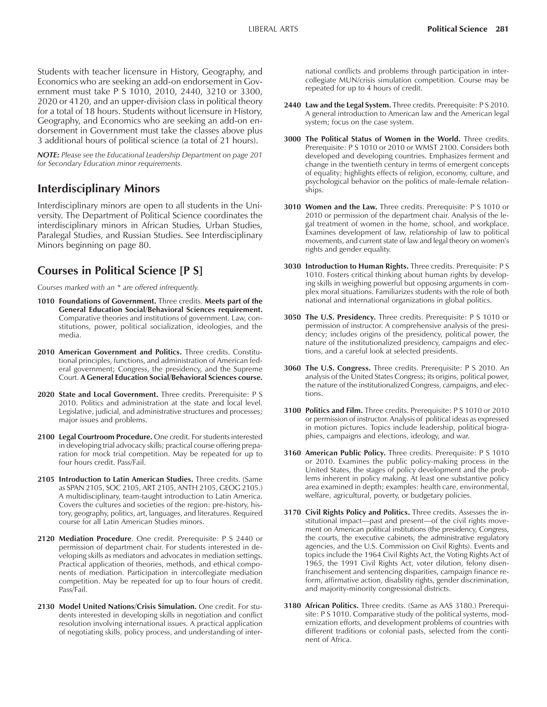Students with teacher licensure in History, Geography, and Economics who are seeking an add-on endorsement in Government must take P S 1010, 2010, 2440, 3210 or 3300, 2020 or 4120, and an upper-division class in political theory for a total of 18 hours. Students without licensure in History, Geography, and Economics who are seeking an add-on endorsement in Government must take the classes above plus 3 additional hours of political science (a total of 21 hours).

*NOTE: Please see the Educational Leadership Department on page 201 for Secondary Education minor requirements.*

## **Interdisciplinary Minors**

Interdisciplinary minors are open to all students in the University. The Department of Political Science coordinates the interdisciplinary minors in African Studies*,* Urban Studies, Paralegal Studies, and Russian Studies. See Interdisciplinary Minors beginning on page 80.

## **Courses in Political Science [P S]**

C*ourses marked with an \* are offered infrequently.*

- **1010 Foundations of Government.** Three credits. **Meets part of the General Education Social/Behavioral Sciences requirement.** Comparative theories and institutions of government. Law, constitutions, power, political socialization, ideologies, and the media.
- **2010 American Government and Politics.** Three credits. Constitutional principles, functions, and administration of American federal government; Congress, the presidency, and the Supreme Court. **A General Education Social/Behavioral Sciences course.**
- 2020 State and Local Government. Three credits. Prerequisite: P S 2010. Politics and administration at the state and local level. Legislative, judicial, and administrative structures and processes; major issues and problems.
- **2100 Legal Courtroom Procedure.** One credit. For students interested in developing trial advocacy skills; practical course offering preparation for mock trial competition. May be repeated for up to four hours credit. Pass/Fail.
- **2105 Introduction to Latin American Studies.** Three credits. (Same as SPAN 2105, SOC 2105, ART 2105, ANTH 2105, GEOG 2105.) A multidisciplinary, team-taught introduction to Latin America. Covers the cultures and societies of the region: pre-history, history, geography, politics, art, languages, and literatures. Required course for all Latin American Studies minors.
- 2120 Mediation Procedure. One credit. Prerequisite: P S 2440 or permission of department chair. For students interested in developing skills as mediators and advocates in mediation settings. Practical application of theories, methods, and ethical components of mediation. Participation in intercollegiate mediation competition. May be repeated for up to four hours of credit. Pass/Fail.
- **2130 Model United Nations/Crisis Simulation.** One credit. For students interested in developing skills in negotiation and conflict resolution involving international issues. A practical application of negotiating skills, policy process, and understanding of inter-

national conflicts and problems through participation in intercollegiate MUN/crisis simulation competition. Course may be repeated for up to 4 hours of credit.

- **2440 Law and the Legal System.** Three credits. Prerequisite: P S 2010. A general introduction to American law and the American legal system; focus on the case system.
- **3000 The Political Status of Women in the World.** Three credits. Prerequisite: P S 1010 or 2010 or WMST 2100. Considers both developed and developing countries. Emphasizes ferment and change in the twentieth century in terms of emergent concepts of equality; highlights effects of religion, economy, culture, and psychological behavior on the politics of male-female relationships.
- **3010 Women and the Law.** Three credits. Prerequisite: P S 1010 or 2010 or permission of the department chair. Analysis of the legal treatment of women in the home, school, and workplace. Examines development of law, relationship of law to political movements, and current state of law and legal theory on women's rights and gender equality.
- **3030 Introduction to Human Rights.** Three credits. Prerequisite: P S 1010. Fosters critical thinking about human rights by developing skills in weighing powerful but opposing arguments in complex moral situations. Familiarizes students with the role of both national and international organizations in global politics.
- **3050 The U.S. Presidency.** Three credits. Prerequisite: P S 1010 or permission of instructor. A comprehensive analysis of the presidency; includes origins of the presidency, political power, the nature of the institutionalized presidency, campaigns and elections, and a careful look at selected presidents.
- **3060 The U.S. Congress.** Three credits. Prerequisite: P S 2010. An analysis of the United States Congress; its origins, political power, the nature of the institutionalized Congress, campaigns, and elections.
- **3100 Politics and Film.** Three credits. Prerequisite: P S 1010 or 2010 or permission of instructor. Analysis of political ideas as expressed in motion pictures. Topics include leadership, political biographies, campaigns and elections, ideology, and war.
- **3160 American Public Policy.** Three credits. Prerequisite: P S 1010 or 2010. Examines the public policy-making process in the United States, the stages of policy development and the problems inherent in policy making. At least one substantive policy area examined in depth; examples: health care, environmental, welfare, agricultural, poverty, or budgetary policies.
- **3170 Civil Rights Policy and Politics.** Three credits. Assesses the institutional impact—past and present—of the civil rights movement on American political institutions (the presidency, Congress, the courts, the executive cabinets, the administrative regulatory agencies, and the U.S. Commission on Civil Rights). Events and topics include the 1964 Civil Rights Act, the Voting Rights Act of 1965, the 1991 Civil Rights Act, voter dilution, felony disenfranchisement and sentencing disparities, campaign finance reform, affirmative action, disability rights, gender discrimination, and majority-minority congressional districts.
- **3180 African Politics.** Three credits. (Same as AAS 3180.) Prerequisite: P S 1010. Comparative study of the political systems, modernization efforts, and development problems of countries with different traditions or colonial pasts, selected from the continent of Africa.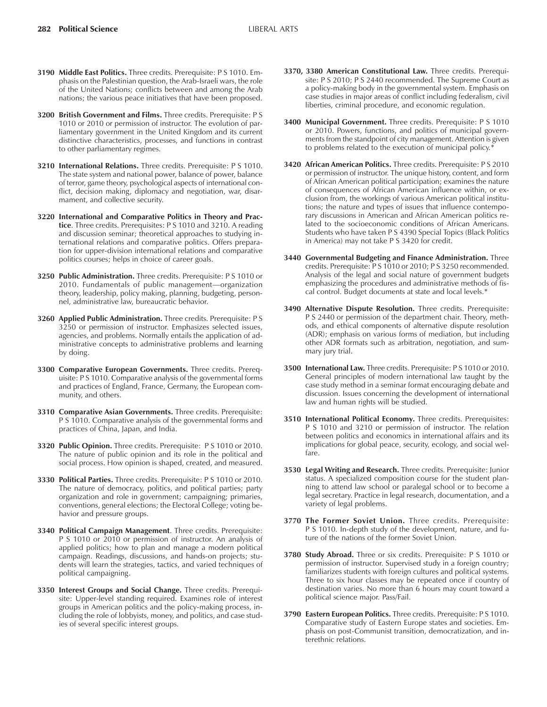- **3190 Middle East Politics.** Three credits. Prerequisite: P S 1010. Emphasis on the Palestinian question, the Arab-Israeli wars, the role of the United Nations; conflicts between and among the Arab nations; the various peace initiatives that have been proposed.
- **3200 British Government and Films.** Three credits. Prerequisite: P S 1010 or 2010 or permission of instructor. The evolution of parliamentary government in the United Kingdom and its current distinctive characteristics, processes, and functions in contrast to other parliamentary regimes.
- **3210 International Relations.** Three credits. Prerequisite: P S 1010. The state system and national power, balance of power, balance of terror, game theory, psychological aspects of international conflict, decision making, diplomacy and negotiation, war, disarmament, and collective security.
- **3220 International and Comparative Politics in Theory and Practice**. Three credits. Prerequisites: P S 1010 and 3210. A reading and discussion seminar; theoretical approaches to studying international relations and comparative politics. Offers preparation for upper-division international relations and comparative politics courses; helps in choice of career goals.
- **3250 Public Administration.** Three credits. Prerequisite: P S 1010 or 2010. Fundamentals of public management-organization theory, leadership, policy making, planning, budgeting, personnel, administrative law, bureaucratic behavior.
- **3260 Applied Public Administration.** Three credits. Prerequisite: P S 3250 or permission of instructor. Emphasizes selected issues, agencies, and problems. Normally entails the application of administrative concepts to administrative problems and learning by doing.
- **3300 Comparative European Governments.** Three credits. Prerequisite: P S 1010. Comparative analysis of the governmental forms and practices of England, France, Germany, the European community, and others.
- **3310 Comparative Asian Governments.** Three credits. Prerequisite: P S 1010. Comparative analysis of the governmental forms and practices of China, Japan, and India.
- **3320 Public Opinion.** Three credits. Prerequisite: P S 1010 or 2010. The nature of public opinion and its role in the political and social process. How opinion is shaped, created, and measured.
- **3330 Political Parties.** Three credits. Prerequisite: P S 1010 or 2010. The nature of democracy, politics, and political parties; party organization and role in government; campaigning; primaries, conventions, general elections; the Electoral College; voting behavior and pressure groups.
- **3340 Political Campaign Management**. Three credits. Prerequisite: P S 1010 or 2010 or permission of instructor. An analysis of applied politics; how to plan and manage a modern political campaign. Readings, discussions, and hands-on projects; students will learn the strategies, tactics, and varied techniques of political campaigning.
- **3350 Interest Groups and Social Change.** Three credits. Prerequisite: Upper-level standing required. Examines role of interest groups in American politics and the policy-making process, including the role of lobbyists, money, and politics, and case studies of several specific interest groups.
- **3370, 3380 American Constitutional Law.** Three credits. Prerequisite: P S 2010; P S 2440 recommended. The Supreme Court as a policy-making body in the governmental system. Emphasis on case studies in major areas of conflict including federalism, civil liberties, criminal procedure, and economic regulation.
- **3400 Municipal Government.** Three credits. Prerequisite: P S 1010 or 2010. Powers, functions, and politics of municipal governments from the standpoint of city management. Attention is given to problems related to the execution of municipal policy.<sup>\*</sup>
- **3420 African American Politics.** Three credits. Prerequisite: P S 2010 or permission of instructor. The unique history, content, and form of African American political participation; examines the nature of consequences of African American influence within, or exclusion from, the workings of various American political institutions; the nature and types of issues that influence contemporary discussions in American and African American politics related to the socioeconomic conditions of African Americans. Students who have taken P S 4390 Special Topics (Black Politics in America) may not take P S 3420 for credit.
- **3440 Governmental Budgeting and Finance Administration.** Three credits. Prerequisite: P S 1010 or 2010; P S 3250 recommended. Analysis of the legal and social nature of government budgets emphasizing the procedures and administrative methods of fiscal control. Budget documents at state and local levels.\*
- **3490 Alternative Dispute Resolution.** Three credits. Prerequisite: P S 2440 or permission of the department chair. Theory, methods, and ethical components of alternative dispute resolution (ADR); emphasis on various forms of mediation, but including other ADR formats such as arbitration, negotiation, and summary jury trial.
- **3500 International Law.** Three credits. Prerequisite: P S 1010 or 2010. General principles of modern international law taught by the case study method in a seminar format encouraging debate and discussion. Issues concerning the development of international law and human rights will be studied.
- **3510 International Political Economy.** Three credits. Prerequisites: P S 1010 and 3210 or permission of instructor. The relation between politics and economics in international affairs and its implications for global peace, security, ecology, and social welfare.
- **3530 Legal Writing and Research.** Three credits. Prerequisite: Junior status. A specialized composition course for the student planning to attend law school or paralegal school or to become a legal secretary. Practice in legal research, documentation, and a variety of legal problems.
- **3770 The Former Soviet Union.** Three credits. Prerequisite: P S 1010. In-depth study of the development, nature, and future of the nations of the former Soviet Union.
- **3780 Study Abroad.** Three or six credits. Prerequisite: P S 1010 or permission of instructor. Supervised study in a foreign country; familiarizes students with foreign cultures and political systems. Three to six hour classes may be repeated once if country of destination varies. No more than 6 hours may count toward a political science major. Pass/Fail.
- **3790 Eastern European Politics.** Three credits. Prerequisite: P S 1010. Comparative study of Eastern Europe states and societies. Emphasis on post-Communist transition, democratization, and interethnic relations.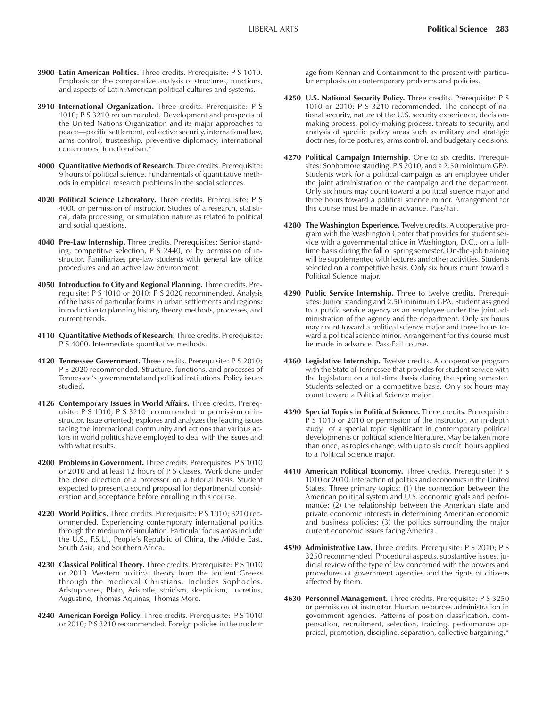- **3900 Latin American Politics.** Three credits. Prerequisite: P S 1010. Emphasis on the comparative analysis of structures, functions, and aspects of Latin American political cultures and systems.
- **3910 International Organization.** Three credits. Prerequisite: P S 1010; P S 3210 recommended. Development and prospects of the United Nations Organization and its major approaches to peace-pacific settlement, collective security, international law, arms control, trusteeship, preventive diplomacy, international conferences, functionalism.\*
- **4000 Quantitative Methods of Research.** Three credits. Prerequisite: 9 hours of political science. Fundamentals of quantitative methods in empirical research problems in the social sciences.
- **4020 Political Science Laboratory.** Three credits. Prerequisite: P S 4000 or permission of instructor. Studies of a research, statistical, data processing, or simulation nature as related to political and social questions.
- **4040 Pre-Law Internship.** Three credits. Prerequisites: Senior standing, competitive selection, P S 2440, or by permission of instructor. Familiarizes pre-law students with general law office procedures and an active law environment.
- **4050 Introduction to City and Regional Planning.** Three credits. Prerequisite: P S 1010 or 2010; P S 2020 recommended. Analysis of the basis of particular forms in urban settlements and regions; introduction to planning history, theory, methods, processes, and current trends.
- **4110 Quantitative Methods of Research.** Three credits. Prerequisite: P S 4000. Intermediate quantitative methods.
- **4120 Tennessee Government.** Three credits. Prerequisite: P S 2010; P S 2020 recommended. Structure, functions, and processes of Tennessee's governmental and political institutions. Policy issues studied.
- **4126 Contemporary Issues in World Affairs.** Three credits. Prerequisite: P S 1010; P S 3210 recommended or permission of instructor. Issue oriented; explores and analyzes the leading issues facing the international community and actions that various actors in world politics have employed to deal with the issues and with what results.
- **4200 Problems in Government.** Three credits. Prerequisites: P S 1010 or 2010 and at least 12 hours of P S classes. Work done under the close direction of a professor on a tutorial basis. Student expected to present a sound proposal for departmental consideration and acceptance before enrolling in this course.
- **4220 World Politics.** Three credits. Prerequisite: P S 1010; 3210 recommended. Experiencing contemporary international politics through the medium of simulation. Particular focus areas include the U.S., F.S.U., Peopleís Republic of China, the Middle East, South Asia, and Southern Africa.
- **4230 Classical Political Theory.** Three credits. Prerequisite: P S 1010 or 2010. Western political theory from the ancient Greeks through the medieval Christians. Includes Sophocles, Aristophanes, Plato, Aristotle, stoicism, skepticism, Lucretius, Augustine, Thomas Aquinas, Thomas More.
- **4240 American Foreign Policy.** Three credits. Prerequisite: P S 1010 or 2010; P S 3210 recommended. Foreign policies in the nuclear

age from Kennan and Containment to the present with particular emphasis on contemporary problems and policies.

- **4250 U.S. National Security Policy.** Three credits. Prerequisite: P S 1010 or 2010; P S 3210 recommended. The concept of national security, nature of the U.S. security experience, decisionmaking process, policy-making process, threats to security, and analysis of specific policy areas such as military and strategic doctrines, force postures, arms control, and budgetary decisions.
- **4270 Political Campaign Internship**. One to six credits. Prerequisites: Sophomore standing, P S 2010, and a 2.50 minimum GPA. Students work for a political campaign as an employee under the joint administration of the campaign and the department. Only six hours may count toward a political science major and three hours toward a political science minor. Arrangement for this course must be made in advance. Pass/Fail.
- **4280 The Washington Experience.** Twelve credits. A cooperative program with the Washington Center that provides for student service with a governmental office in Washington, D.C., on a fulltime basis during the fall or spring semester. On-the-job training will be supplemented with lectures and other activities. Students selected on a competitive basis. Only six hours count toward a Political Science major.
- **4290 Public Service Internship.** Three to twelve credits. Prerequisites: Junior standing and 2.50 minimum GPA. Student assigned to a public service agency as an employee under the joint administration of the agency and the department. Only six hours may count toward a political science major and three hours toward a political science minor. Arrangement for this course must be made in advance. Pass-Fail course.
- **4360 Legislative Internship.** Twelve credits. A cooperative program with the State of Tennessee that provides for student service with the legislature on a full-time basis during the spring semester. Students selected on a competitive basis. Only six hours may count toward a Political Science major.
- **4390 Special Topics in Political Science.** Three credits. Prerequisite: P S 1010 or 2010 or permission of the instructor. An in-depth study of a special topic significant in contemporary political developments or political science literature. May be taken more than once, as topics change, with up to six credit hours applied to a Political Science major.
- **4410 American Political Economy.** Three credits. Prerequisite: P S 1010 or 2010. Interaction of politics and economics in the United States. Three primary topics: (1) the connection between the American political system and U.S. economic goals and performance; (2) the relationship between the American state and private economic interests in determining American economic and business policies; (3) the politics surrounding the major current economic issues facing America.
- **4590 Administrative Law.** Three credits. Prerequisite: P S 2010; P S 3250 recommended. Procedural aspects, substantive issues, judicial review of the type of law concerned with the powers and procedures of government agencies and the rights of citizens affected by them.
- **4630 Personnel Management.** Three credits. Prerequisite: P S 3250 or permission of instructor. Human resources administration in government agencies. Patterns of position classification, compensation, recruitment, selection, training, performance appraisal, promotion, discipline, separation, collective bargaining.\*